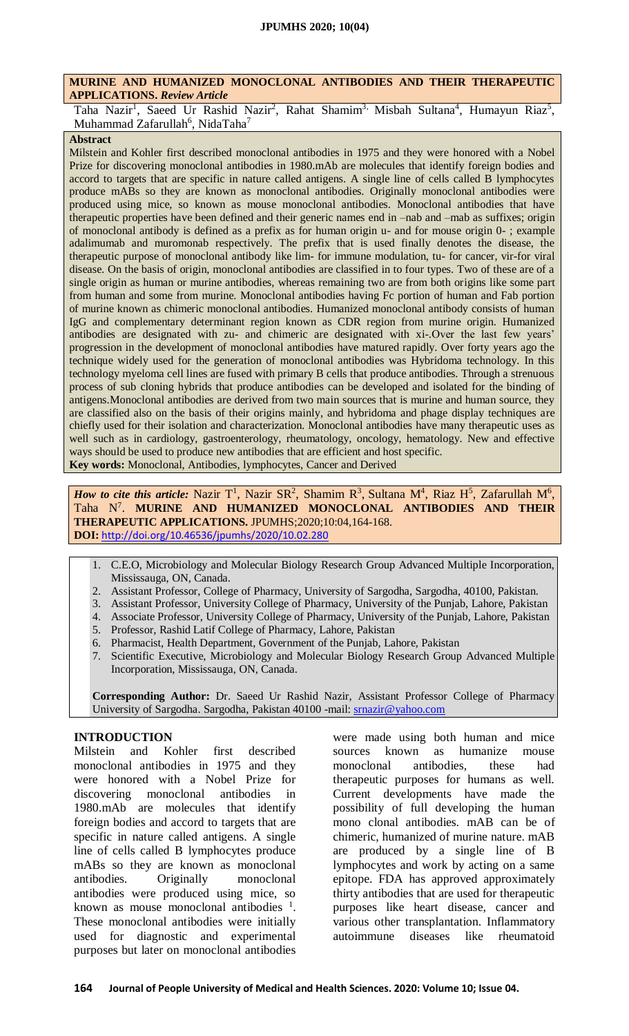### **MURINE AND HUMANIZED MONOCLONAL ANTIBODIES AND THEIR THERAPEUTIC APPLICATIONS.** *Review Article*

Taha Nazir<sup>1</sup>, Saeed Ur Rashid Nazir<sup>2</sup>, Rahat Shamim<sup>3,</sup> Misbah Sultana<sup>4</sup>, Humayun Riaz<sup>5</sup>, Muhammad Zafarullah $^6$ , NidaTaha $^7$ 

### **Abstract**

Milstein and Kohler first described monoclonal antibodies in 1975 and they were honored with a Nobel Prize for discovering monoclonal antibodies in 1980.mAb are molecules that identify foreign bodies and accord to targets that are specific in nature called antigens. A single line of cells called B lymphocytes produce mABs so they are known as monoclonal antibodies. Originally monoclonal antibodies were produced using mice, so known as mouse monoclonal antibodies. Monoclonal antibodies that have therapeutic properties have been defined and their generic names end in –nab and –mab as suffixes; origin of monoclonal antibody is defined as a prefix as for human origin u- and for mouse origin 0- ; example adalimumab and muromonab respectively. The prefix that is used finally denotes the disease, the therapeutic purpose of monoclonal antibody like lim- for immune modulation, tu- for cancer, vir-for viral disease. On the basis of origin, monoclonal antibodies are classified in to four types. Two of these are of a single origin as human or murine antibodies, whereas remaining two are from both origins like some part from human and some from murine. Monoclonal antibodies having Fc portion of human and Fab portion of murine known as chimeric monoclonal antibodies. Humanized monoclonal antibody consists of human IgG and complementary determinant region known as CDR region from murine origin. Humanized antibodies are designated with zu- and chimeric are designated with xi-.Over the last few years' progression in the development of monoclonal antibodies have matured rapidly. Over forty years ago the technique widely used for the generation of monoclonal antibodies was Hybridoma technology. In this technology myeloma cell lines are fused with primary B cells that produce antibodies. Through a strenuous process of sub cloning hybrids that produce antibodies can be developed and isolated for the binding of antigens.Monoclonal antibodies are derived from two main sources that is murine and human source, they are classified also on the basis of their origins mainly, and hybridoma and phage display techniques are chiefly used for their isolation and characterization. Monoclonal antibodies have many therapeutic uses as well such as in cardiology, gastroenterology, rheumatology, oncology, hematology. New and effective ways should be used to produce new antibodies that are efficient and host specific. **Key words:** Monoclonal, Antibodies, lymphocytes, Cancer and Derived

*How to cite this article:* Nazir T<sup>1</sup>, Nazir SR<sup>2</sup>, Shamim R<sup>3</sup>, Sultana M<sup>4</sup>, Riaz H<sup>5</sup>, Zafarullah M<sup>6</sup>, Taha N 7 . **MURINE AND HUMANIZED MONOCLONAL ANTIBODIES AND THEIR THERAPEUTIC APPLICATIONS.** JPUMHS;2020;10:04,164-168. **DOI:** <http://doi.org/10.46536/jpumhs/2020/10.02.280>

- 1. C.E.O, Microbiology and Molecular Biology Research Group Advanced Multiple Incorporation, Mississauga, ON, Canada.
- 2. Assistant Professor, College of Pharmacy, University of Sargodha, Sargodha, 40100, Pakistan.
- 3. Assistant Professor, University College of Pharmacy, University of the Punjab, Lahore, Pakistan
- 4. Associate Professor, University College of Pharmacy, University of the Punjab, Lahore, Pakistan
- 5. Professor, Rashid Latif College of Pharmacy, Lahore, Pakistan
- 6. Pharmacist, Health Department, Government of the Punjab, Lahore, Pakistan
- 7. Scientific Executive, Microbiology and Molecular Biology Research Group Advanced Multiple Incorporation, Mississauga, ON, Canada.

**Corresponding Author:** Dr. Saeed Ur Rashid Nazir, Assistant Professor College of Pharmacy University of Sargodha. Sargodha, Pakistan 40100 -mail: [srnazir@yahoo.com](mailto:srnazir@yahoo.com)

# **INTRODUCTION**

Milstein and Kohler first described monoclonal antibodies in 1975 and they were honored with a Nobel Prize for discovering monoclonal antibodies in 1980.mAb are molecules that identify foreign bodies and accord to targets that are specific in nature called antigens. A single line of cells called B lymphocytes produce mABs so they are known as monoclonal antibodies. Originally monoclonal antibodies were produced using mice, so known as mouse monoclonal antibodies  $\frac{1}{1}$ . These monoclonal antibodies were initially used for diagnostic and experimental purposes but later on monoclonal antibodies

were made using both human and mice sources known as humanize mouse monoclonal antibodies, these had therapeutic purposes for humans as well. Current developments have made the possibility of full developing the human mono clonal antibodies. mAB can be of chimeric, humanized of murine nature. mAB are produced by a single line of B lymphocytes and work by acting on a same epitope. FDA has approved approximately thirty antibodies that are used for therapeutic purposes like heart disease, cancer and various other transplantation. Inflammatory autoimmune diseases like rheumatoid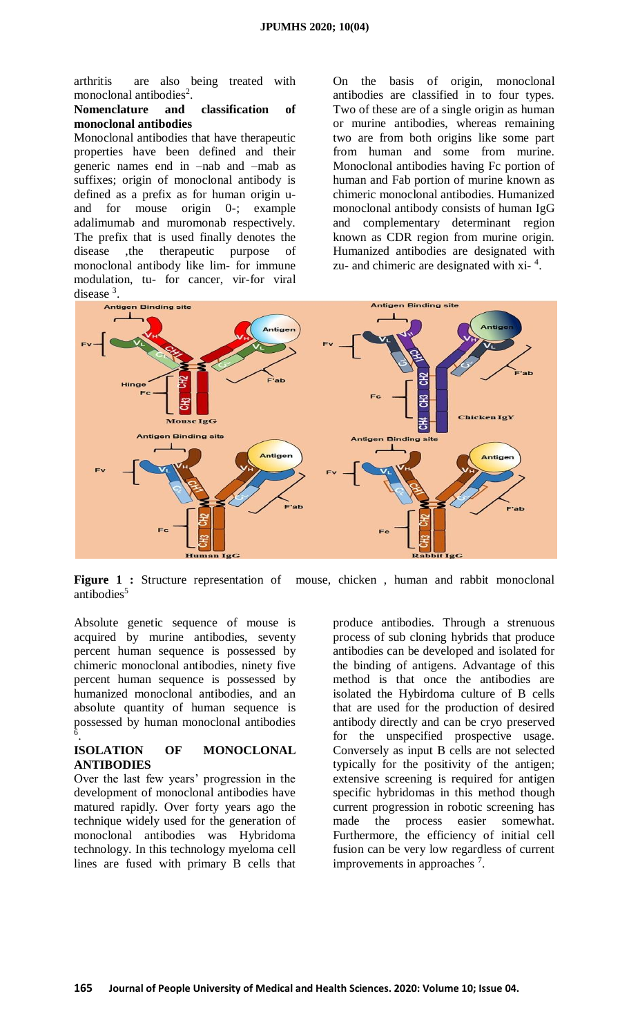arthritis are also being treated with monoclonal antibodies<sup>2</sup>.

#### **Nomenclature and classification of monoclonal antibodies**

Monoclonal antibodies that have therapeutic properties have been defined and their generic names end in –nab and –mab as suffixes; origin of monoclonal antibody is defined as a prefix as for human origin uand for mouse origin 0-; example adalimumab and muromonab respectively. The prefix that is used finally denotes the disease ,the therapeutic purpose of monoclonal antibody like lim- for immune modulation, tu- for cancer, vir-for viral disease<sup>3</sup>.

On the basis of origin, monoclonal antibodies are classified in to four types. Two of these are of a single origin as human or murine antibodies, whereas remaining two are from both origins like some part from human and some from murine. Monoclonal antibodies having Fc portion of human and Fab portion of murine known as chimeric monoclonal antibodies. Humanized monoclonal antibody consists of human IgG and complementary determinant region known as CDR region from murine origin. Humanized antibodies are designated with zu- and chimeric are designated with  $xi^{-4}$ .



Figure 1 : Structure representation of mouse, chicken, human and rabbit monoclonal antibodies<sup>5</sup>

Absolute genetic sequence of mouse is acquired by murine antibodies, seventy percent human sequence is possessed by chimeric monoclonal antibodies, ninety five percent human sequence is possessed by humanized monoclonal antibodies, and an absolute quantity of human sequence is possessed by human monoclonal antibodies 6 .

## **ISOLATION OF MONOCLONAL ANTIBODIES**

Over the last few years' progression in the development of monoclonal antibodies have matured rapidly. Over forty years ago the technique widely used for the generation of monoclonal antibodies was Hybridoma technology. In this technology myeloma cell lines are fused with primary B cells that

produce antibodies. Through a strenuous process of sub cloning hybrids that produce antibodies can be developed and isolated for the binding of antigens. Advantage of this method is that once the antibodies are isolated the Hybirdoma culture of B cells that are used for the production of desired antibody directly and can be cryo preserved for the unspecified prospective usage. Conversely as input B cells are not selected typically for the positivity of the antigen; extensive screening is required for antigen specific hybridomas in this method though current progression in robotic screening has made the process easier somewhat. Furthermore, the efficiency of initial cell fusion can be very low regardless of current improvements in approaches  $<sup>7</sup>$ .</sup>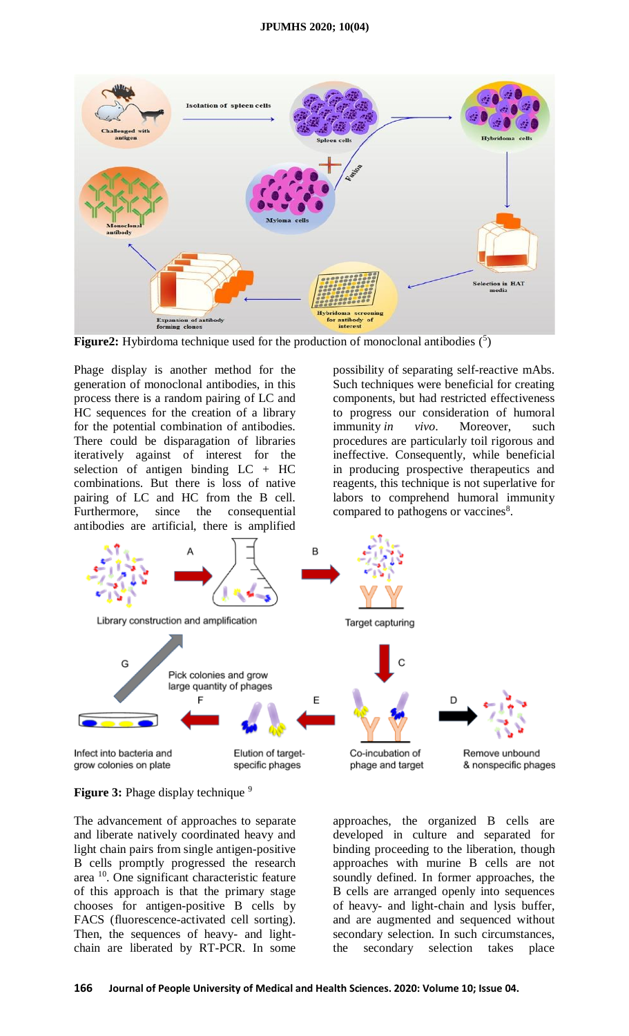

Figure2: Hybirdoma technique used for the production of monoclonal antibodies (5)

Phage display is another method for the generation of monoclonal antibodies, in this process there is a random pairing of LC and HC sequences for the creation of a library for the potential combination of antibodies. There could be disparagation of libraries iteratively against of interest for the selection of antigen binding LC + HC combinations. But there is loss of native pairing of LC and HC from the B cell.<br>Furthermore, since the consequential Furthermore, since the consequential antibodies are artificial, there is amplified

possibility of separating self-reactive mAbs. Such techniques were beneficial for creating components, but had restricted effectiveness to progress our consideration of humoral immunity *in vivo*. Moreover, such procedures are particularly toil rigorous and ineffective. Consequently, while beneficial in producing prospective therapeutics and reagents, this technique is not superlative for labors to comprehend humoral immunity compared to pathogens or vaccines $8$ .



**Figure 3:** Phage display technique <sup>9</sup>

The advancement of approaches to separate and liberate natively coordinated heavy and light chain pairs from single antigen-positive B cells promptly progressed the research area <sup>10</sup>. One significant characteristic feature of this approach is that the primary stage chooses for antigen-positive B cells by FACS (fluorescence-activated cell sorting). Then, the sequences of heavy- and lightchain are liberated by RT-PCR. In some

approaches, the organized B cells are developed in culture and separated for binding proceeding to the liberation, though approaches with murine B cells are not soundly defined. In former approaches, the B cells are arranged openly into sequences of heavy- and light-chain and lysis buffer, and are augmented and sequenced without secondary selection. In such circumstances, the secondary selection takes place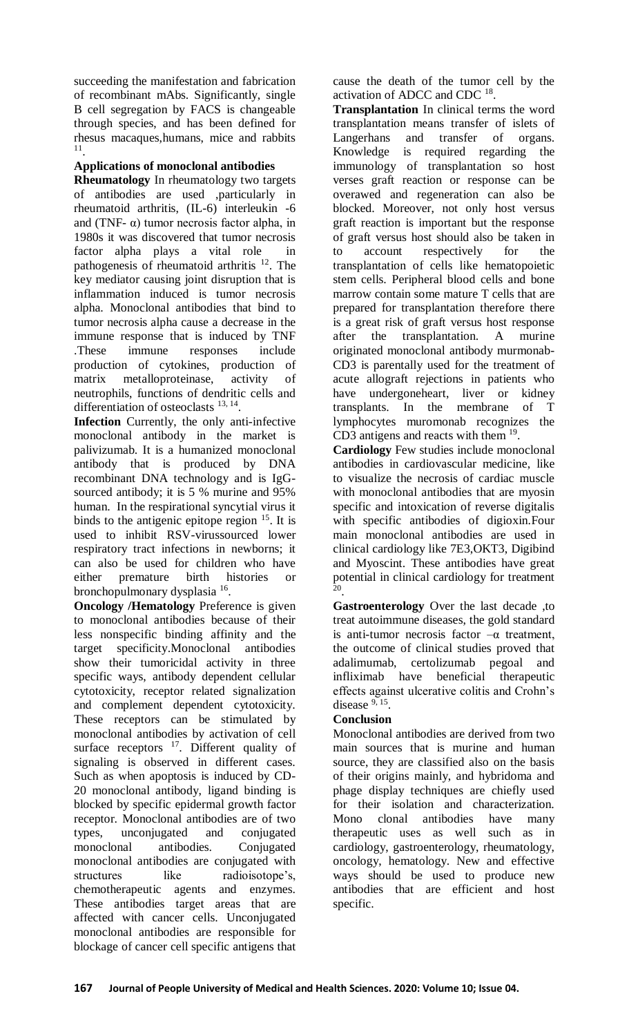succeeding the manifestation and fabrication of recombinant mAbs. Significantly, single B cell segregation by FACS is changeable through species, and has been defined for rhesus macaques,humans, mice and rabbits 11 .

# **Applications of monoclonal antibodies**

**Rheumatology** In rheumatology two targets of antibodies are used ,particularly in rheumatoid arthritis, (IL-6) interleukin -6 and (TNF- $\alpha$ ) tumor necrosis factor alpha, in 1980s it was discovered that tumor necrosis factor alpha plays a vital role in pathogenesis of rheumatoid arthritis <sup>12</sup>. The key mediator causing joint disruption that is inflammation induced is tumor necrosis alpha. Monoclonal antibodies that bind to tumor necrosis alpha cause a decrease in the immune response that is induced by TNF .These immune responses include production of cytokines, production of matrix metalloproteinase, activity of neutrophils, functions of dendritic cells and differentiation of osteoclasts <sup>13, 14</sup>.

**Infection** Currently, the only anti-infective monoclonal antibody in the market is palivizumab. It is a humanized monoclonal antibody that is produced by DNA recombinant DNA technology and is IgGsourced antibody; it is 5 % murine and 95% human. In the respirational syncytial virus it binds to the antigenic epitope region  $15$ . It is used to inhibit RSV-virussourced lower respiratory tract infections in newborns; it can also be used for children who have either premature birth histories or bronchopulmonary dysplasia<sup>16</sup>.

**Oncology /Hematology** Preference is given to monoclonal antibodies because of their less nonspecific binding affinity and the target specificity.Monoclonal antibodies show their tumoricidal activity in three specific ways, antibody dependent cellular cytotoxicity, receptor related signalization and complement dependent cytotoxicity. These receptors can be stimulated by monoclonal antibodies by activation of cell surface receptors  $17$ . Different quality of signaling is observed in different cases. Such as when apoptosis is induced by CD-20 monoclonal antibody, ligand binding is blocked by specific epidermal growth factor receptor. Monoclonal antibodies are of two types, unconjugated and conjugated monoclonal antibodies. Conjugated monoclonal antibodies are conjugated with structures like radioisotope's, chemotherapeutic agents and enzymes. These antibodies target areas that are affected with cancer cells. Unconjugated monoclonal antibodies are responsible for blockage of cancer cell specific antigens that

cause the death of the tumor cell by the activation of ADCC and CDC  $^{18}$ .

**Transplantation** In clinical terms the word transplantation means transfer of islets of Langerhans and transfer of organs. Knowledge is required regarding the immunology of transplantation so host verses graft reaction or response can be overawed and regeneration can also be blocked. Moreover, not only host versus graft reaction is important but the response of graft versus host should also be taken in to account respectively for the transplantation of cells like hematopoietic stem cells. Peripheral blood cells and bone marrow contain some mature T cells that are prepared for transplantation therefore there is a great risk of graft versus host response after the transplantation. A murine originated monoclonal antibody murmonab-CD3 is parentally used for the treatment of acute allograft rejections in patients who have undergoneheart, liver or kidney transplants. In the membrane of T lymphocytes muromonab recognizes the CD3 antigens and reacts with them  $19$ .

**Cardiology** Few studies include monoclonal antibodies in cardiovascular medicine, like to visualize the necrosis of cardiac muscle with monoclonal antibodies that are myosin specific and intoxication of reverse digitalis with specific antibodies of digioxin.Four main monoclonal antibodies are used in clinical cardiology like 7E3,OKT3, Digibind and Myoscint. These antibodies have great potential in clinical cardiology for treatment 20 .

**Gastroenterology** Over the last decade ,to treat autoimmune diseases, the gold standard is anti-tumor necrosis factor  $-\alpha$  treatment, the outcome of clinical studies proved that adalimumab, certolizumab pegoal and infliximab have beneficial therapeutic effects against ulcerative colitis and Crohn's disease  $9, 15$ .

## **Conclusion**

Monoclonal antibodies are derived from two main sources that is murine and human source, they are classified also on the basis of their origins mainly, and hybridoma and phage display techniques are chiefly used for their isolation and characterization. Mono clonal antibodies have many therapeutic uses as well such as in cardiology, gastroenterology, rheumatology, oncology, hematology. New and effective ways should be used to produce new antibodies that are efficient and host specific.